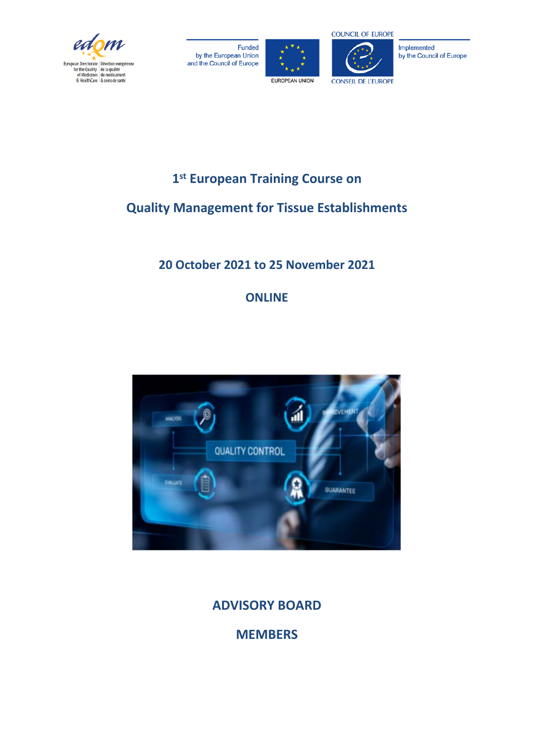

Funded by the European Union and the Council of Europe





Implemented by the Council of Europe

# **1st European Training Course on**

# **Quality Management for Tissue Establishments**

# **20 October 2021 to 25 November 2021**

# **ONLINE**



**ADVISORY BOARD**

**MEMBERS**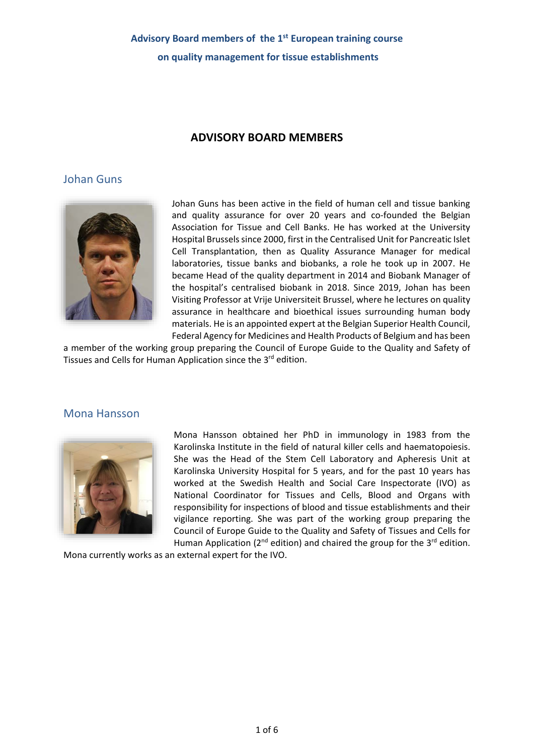#### **ADVISORY BOARD MEMBERS**

#### Johan Guns



Johan Guns has been active in the field of human cell and tissue banking and quality assurance for over 20 years and co-founded the Belgian Association for Tissue and Cell Banks. He has worked at the University Hospital Brussels since 2000, first in the Centralised Unit for Pancreatic Islet Cell Transplantation, then as Quality Assurance Manager for medical laboratories, tissue banks and biobanks, a role he took up in 2007. He became Head of the quality department in 2014 and Biobank Manager of the hospital's centralised biobank in 2018. Since 2019, Johan has been Visiting Professor at Vrije Universiteit Brussel, where he lectures on quality assurance in healthcare and bioethical issues surrounding human body materials. He is an appointed expert at the Belgian Superior Health Council, Federal Agency for Medicines and Health Products of Belgium and has been

a member of the working group preparing the Council of Europe Guide to the Quality and Safety of Tissues and Cells for Human Application since the 3<sup>rd</sup> edition.

#### Mona Hansson



Mona Hansson obtained her PhD in immunology in 1983 from the Karolinska Institute in the field of natural killer cells and haematopoiesis. She was the Head of the Stem Cell Laboratory and Apheresis Unit at Karolinska University Hospital for 5 years, and for the past 10 years has worked at the Swedish Health and Social Care Inspectorate (IVO) as National Coordinator for Tissues and Cells, Blood and Organs with responsibility for inspections of blood and tissue establishments and their vigilance reporting. She was part of the working group preparing the Council of Europe Guide to the Quality and Safety of Tissues and Cells for Human Application ( $2^{nd}$  edition) and chaired the group for the  $3^{rd}$  edition.

Mona currently works as an external expert for the IVO.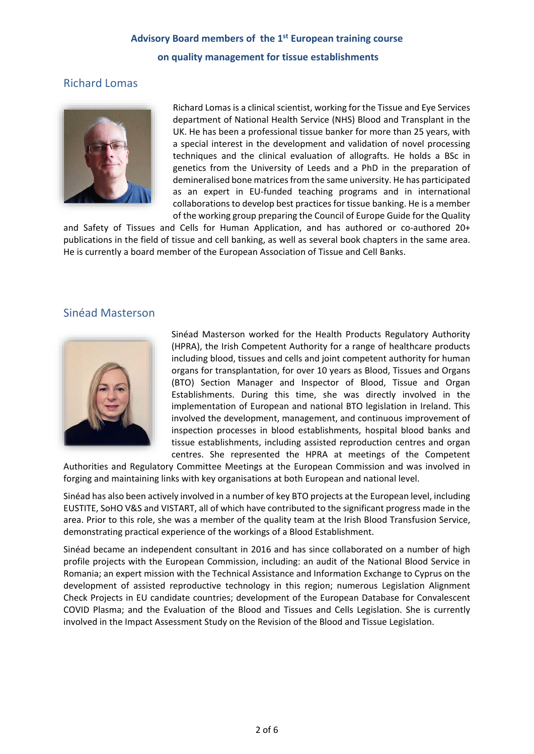#### Richard Lomas



Richard Lomas is a clinical scientist, working for the Tissue and Eye Services department of National Health Service (NHS) Blood and Transplant in the UK. He has been a professional tissue banker for more than 25 years, with a special interest in the development and validation of novel processing techniques and the clinical evaluation of allografts. He holds a BSc in genetics from the University of Leeds and a PhD in the preparation of demineralised bone matrices from the same university. He has participated as an expert in EU-funded teaching programs and in international collaborations to develop best practices for tissue banking. He is a member of the working group preparing the Council of Europe Guide for the Quality

and Safety of Tissues and Cells for Human Application, and has authored or co-authored 20+ publications in the field of tissue and cell banking, as well as several book chapters in the same area. He is currently a board member of the European Association of Tissue and Cell Banks.

#### Sinéad Masterson



Sinéad Masterson worked for the Health Products Regulatory Authority (HPRA), the Irish Competent Authority for a range of healthcare products including blood, tissues and cells and joint competent authority for human organs for transplantation, for over 10 years as Blood, Tissues and Organs (BTO) Section Manager and Inspector of Blood, Tissue and Organ Establishments. During this time, she was directly involved in the implementation of European and national BTO legislation in Ireland. This involved the development, management, and continuous improvement of inspection processes in blood establishments, hospital blood banks and tissue establishments, including assisted reproduction centres and organ centres. She represented the HPRA at meetings of the Competent

Authorities and Regulatory Committee Meetings at the European Commission and was involved in forging and maintaining links with key organisations at both European and national level.

Sinéad has also been actively involved in a number of key BTO projects at the European level, including EUSTITE, SoHO V&S and VISTART, all of which have contributed to the significant progress made in the area. Prior to this role, she was a member of the quality team at the Irish Blood Transfusion Service, demonstrating practical experience of the workings of a Blood Establishment.

Sinéad became an independent consultant in 2016 and has since collaborated on a number of high profile projects with the European Commission, including: an audit of the National Blood Service in Romania; an expert mission with the Technical Assistance and Information Exchange to Cyprus on the development of assisted reproductive technology in this region; numerous Legislation Alignment Check Projects in EU candidate countries; development of the European Database for Convalescent COVID Plasma; and the Evaluation of the Blood and Tissues and Cells Legislation. She is currently involved in the Impact Assessment Study on the Revision of the Blood and Tissue Legislation.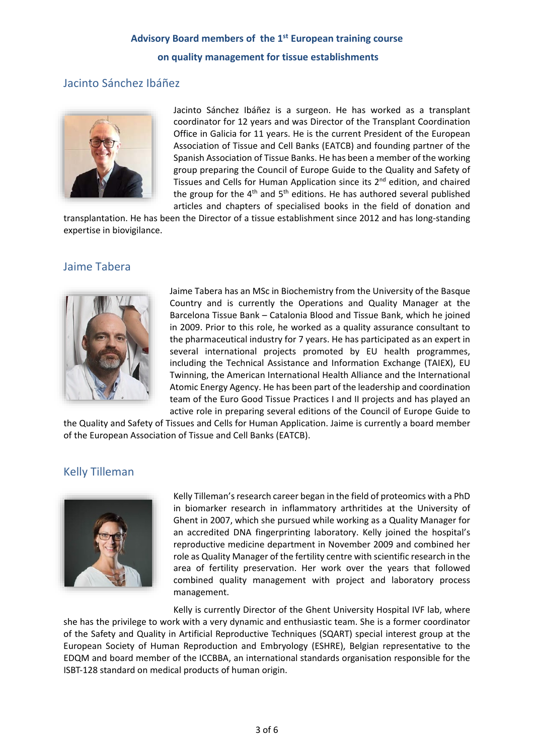#### Jacinto Sánchez Ibáñez



Jacinto Sánchez Ibáñez is a surgeon. He has worked as a transplant coordinator for 12 years and was Director of the Transplant Coordination Office in Galicia for 11 years. He is the current President of the European Association of Tissue and Cell Banks (EATCB) and founding partner of the Spanish Association of Tissue Banks. He has been a member of the working group preparing the Council of Europe Guide to the Quality and Safety of Tissues and Cells for Human Application since its 2nd edition, and chaired the group for the  $4<sup>th</sup>$  and  $5<sup>th</sup>$  editions. He has authored several published articles and chapters of specialised books in the field of donation and

transplantation. He has been the Director of a tissue establishment since 2012 and has long-standing expertise in biovigilance.

#### Jaime Tabera



Jaime Tabera has an MSc in Biochemistry from the University of the Basque Country and is currently the Operations and Quality Manager at the Barcelona Tissue Bank – Catalonia Blood and Tissue Bank, which he joined in 2009. Prior to this role, he worked as a quality assurance consultant to the pharmaceutical industry for 7 years. He has participated as an expert in several international projects promoted by EU health programmes, including the Technical Assistance and Information Exchange (TAIEX), EU Twinning, the American International Health Alliance and the International Atomic Energy Agency. He has been part of the leadership and coordination team of the Euro Good Tissue Practices I and II projects and has played an active role in preparing several editions of the Council of Europe Guide to

the Quality and Safety of Tissues and Cells for Human Application. Jaime is currently a board member of the European Association of Tissue and Cell Banks (EATCB).

#### Kelly Tilleman



Kelly Tilleman's research career began in the field of proteomics with a PhD in biomarker research in inflammatory arthritides at the University of Ghent in 2007, which she pursued while working as a Quality Manager for an accredited DNA fingerprinting laboratory. Kelly joined the hospital's reproductive medicine department in November 2009 and combined her role as Quality Manager of the fertility centre with scientific research in the area of fertility preservation. Her work over the years that followed combined quality management with project and laboratory process management.

Kelly is currently Director of the Ghent University Hospital IVF lab, where she has the privilege to work with a very dynamic and enthusiastic team. She is a former coordinator of the Safety and Quality in Artificial Reproductive Techniques (SQART) special interest group at the European Society of Human Reproduction and Embryology (ESHRE), Belgian representative to the EDQM and board member of the ICCBBA, an international standards organisation responsible for the ISBT-128 standard on medical products of human origin.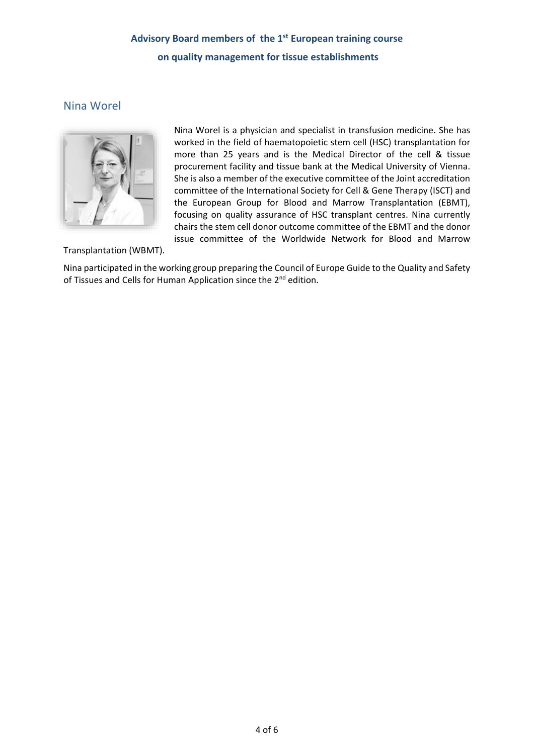#### Nina Worel



Nina Worel is a physician and specialist in transfusion medicine. She has worked in the field of haematopoietic stem cell (HSC) transplantation for more than 25 years and is the Medical Director of the cell & tissue procurement facility and tissue bank at the Medical University of Vienna. She is also a member of the executive committee of the Joint accreditation committee of the International Society for Cell & Gene Therapy (ISCT) and the European Group for Blood and Marrow Transplantation (EBMT), focusing on quality assurance of HSC transplant centres. Nina currently chairs the stem cell donor outcome committee of the EBMT and the donor issue committee of the Worldwide Network for Blood and Marrow

Transplantation (WBMT).

Nina participated in the working group preparing the Council of Europe Guide to the Quality and Safety of Tissues and Cells for Human Application since the 2<sup>nd</sup> edition.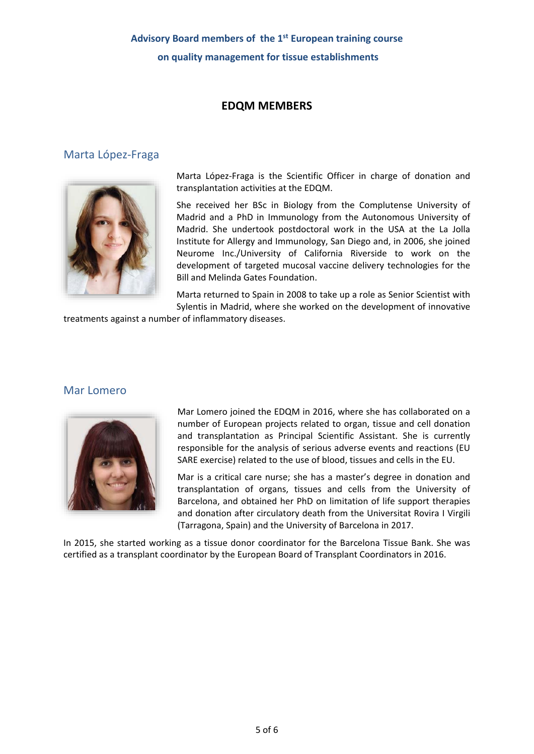#### **EDQM MEMBERS**

#### Marta López-Fraga



Marta López-Fraga is the Scientific Officer in charge of donation and transplantation activities at the EDQM.

She received her BSc in Biology from the Complutense University of Madrid and a PhD in Immunology from the Autonomous University of Madrid. She undertook postdoctoral work in the USA at the La Jolla Institute for Allergy and Immunology, San Diego and, in 2006, she joined Neurome Inc./University of California Riverside to work on the development of targeted mucosal vaccine delivery technologies for the Bill and Melinda Gates Foundation.

Marta returned to Spain in 2008 to take up a role as Senior Scientist with Sylentis in Madrid, where she worked on the development of innovative

treatments against a number of inflammatory diseases.

#### Mar Lomero



Mar Lomero joined the EDQM in 2016, where she has collaborated on a number of European projects related to organ, tissue and cell donation and transplantation as Principal Scientific Assistant. She is currently responsible for the analysis of serious adverse events and reactions (EU SARE exercise) related to the use of blood, tissues and cells in the EU.

Mar is a critical care nurse; she has a master's degree in donation and transplantation of organs, tissues and cells from the University of Barcelona, and obtained her PhD on limitation of life support therapies and donation after circulatory death from the Universitat Rovira I Virgili (Tarragona, Spain) and the University of Barcelona in 2017.

In 2015, she started working as a tissue donor coordinator for the Barcelona Tissue Bank. She was certified as a transplant coordinator by the European Board of Transplant Coordinators in 2016.